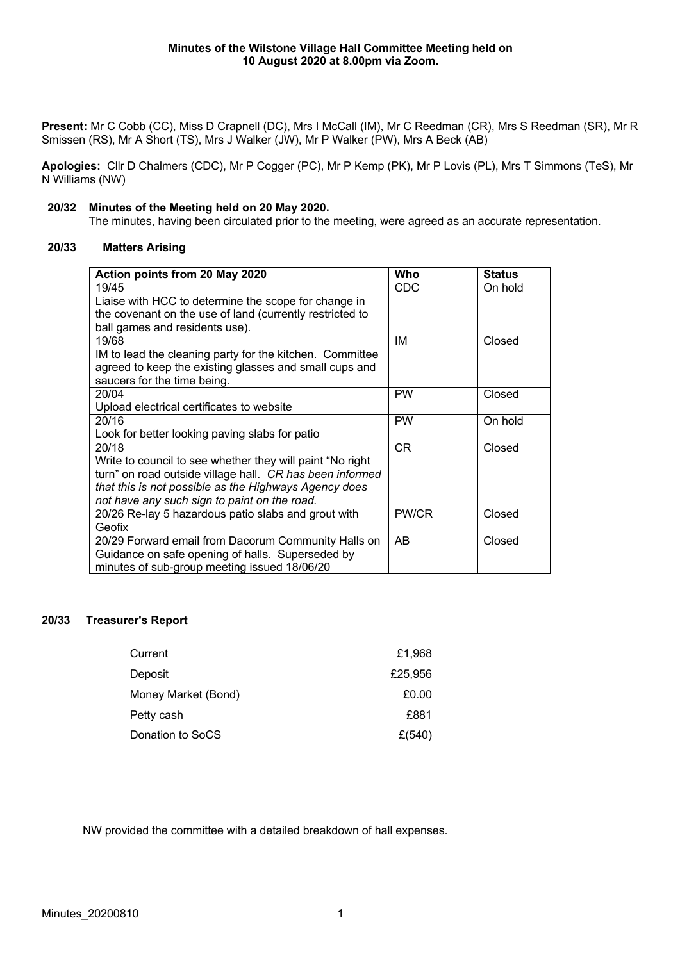**Present:** Mr C Cobb (CC), Miss D Crapnell (DC), Mrs I McCall (IM), Mr C Reedman (CR), Mrs S Reedman (SR), Mr R Smissen (RS), Mr A Short (TS), Mrs J Walker (JW), Mr P Walker (PW), Mrs A Beck (AB)

**Apologies:** Cllr D Chalmers (CDC), Mr P Cogger (PC), Mr P Kemp (PK), Mr P Lovis (PL), Mrs T Simmons (TeS), Mr N Williams (NW)

### **20/32 Minutes of the Meeting held on 20 May 2020.**

The minutes, having been circulated prior to the meeting, were agreed as an accurate representation.

# **20/33 Matters Arising**

| Action points from 20 May 2020                             | Who        | <b>Status</b> |
|------------------------------------------------------------|------------|---------------|
| 19/45                                                      | <b>CDC</b> | On hold       |
| Liaise with HCC to determine the scope for change in       |            |               |
| the covenant on the use of land (currently restricted to   |            |               |
| ball games and residents use).                             |            |               |
| 19/68                                                      | IM         | Closed        |
| IM to lead the cleaning party for the kitchen. Committee   |            |               |
| agreed to keep the existing glasses and small cups and     |            |               |
| saucers for the time being.                                |            |               |
| 20/04                                                      | <b>PW</b>  | Closed        |
| Upload electrical certificates to website                  |            |               |
| 20/16                                                      | <b>PW</b>  | On hold       |
| Look for better looking paving slabs for patio             |            |               |
| 20/18                                                      | <b>CR</b>  | Closed        |
| Write to council to see whether they will paint "No right" |            |               |
| turn" on road outside village hall. CR has been informed   |            |               |
| that this is not possible as the Highways Agency does      |            |               |
| not have any such sign to paint on the road.               |            |               |
| 20/26 Re-lay 5 hazardous patio slabs and grout with        | PW/CR      | Closed        |
| Geofix                                                     |            |               |
| 20/29 Forward email from Dacorum Community Halls on        | AB         | Closed        |
| Guidance on safe opening of halls. Superseded by           |            |               |
| minutes of sub-group meeting issued 18/06/20               |            |               |

# **20/33 Treasurer's Report**

| Current             | £1,968  |
|---------------------|---------|
| Deposit             | £25,956 |
| Money Market (Bond) | £0.00   |
| Petty cash          | £881    |
| Donation to SoCS    | £(540)  |

NW provided the committee with a detailed breakdown of hall expenses.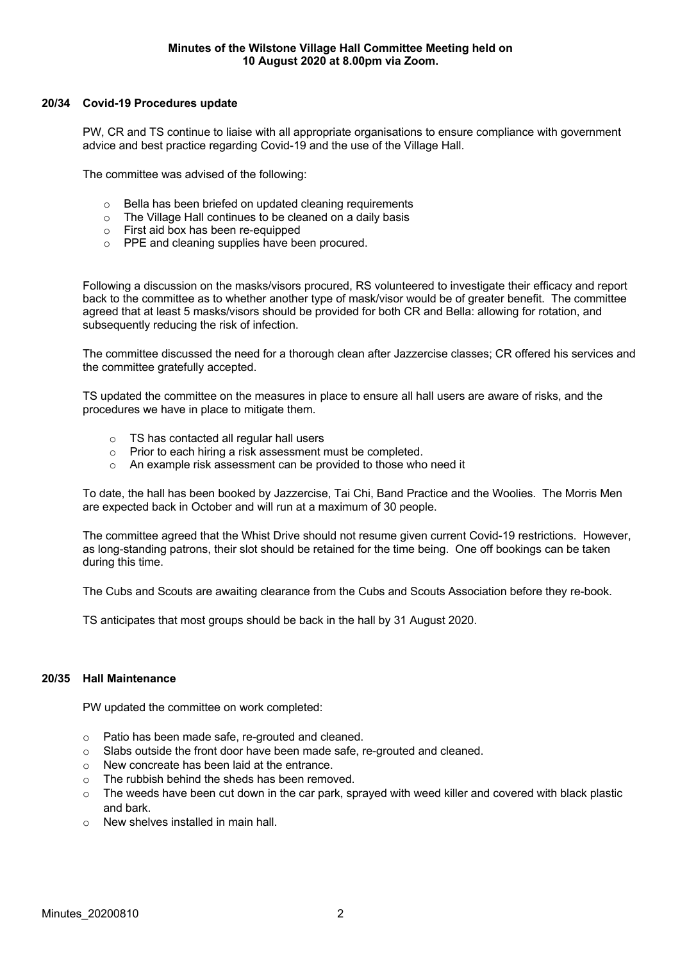## **20/34 Covid-19 Procedures update**

PW, CR and TS continue to liaise with all appropriate organisations to ensure compliance with government advice and best practice regarding Covid-19 and the use of the Village Hall.

The committee was advised of the following:

- o Bella has been briefed on updated cleaning requirements
- o The Village Hall continues to be cleaned on a daily basis
- o First aid box has been re-equipped
- o PPE and cleaning supplies have been procured.

Following a discussion on the masks/visors procured, RS volunteered to investigate their efficacy and report back to the committee as to whether another type of mask/visor would be of greater benefit. The committee agreed that at least 5 masks/visors should be provided for both CR and Bella: allowing for rotation, and subsequently reducing the risk of infection.

The committee discussed the need for a thorough clean after Jazzercise classes; CR offered his services and the committee gratefully accepted.

TS updated the committee on the measures in place to ensure all hall users are aware of risks, and the procedures we have in place to mitigate them.

- o TS has contacted all regular hall users
- o Prior to each hiring a risk assessment must be completed.
- o An example risk assessment can be provided to those who need it

To date, the hall has been booked by Jazzercise, Tai Chi, Band Practice and the Woolies. The Morris Men are expected back in October and will run at a maximum of 30 people.

The committee agreed that the Whist Drive should not resume given current Covid-19 restrictions. However, as long-standing patrons, their slot should be retained for the time being. One off bookings can be taken during this time.

The Cubs and Scouts are awaiting clearance from the Cubs and Scouts Association before they re-book.

TS anticipates that most groups should be back in the hall by 31 August 2020.

#### **20/35 Hall Maintenance**

PW updated the committee on work completed:

- o Patio has been made safe, re-grouted and cleaned.
- $\circ$  Slabs outside the front door have been made safe, re-grouted and cleaned.
- o New concreate has been laid at the entrance.
- o The rubbish behind the sheds has been removed.
- $\circ$  The weeds have been cut down in the car park, sprayed with weed killer and covered with black plastic and bark.
- o New shelves installed in main hall.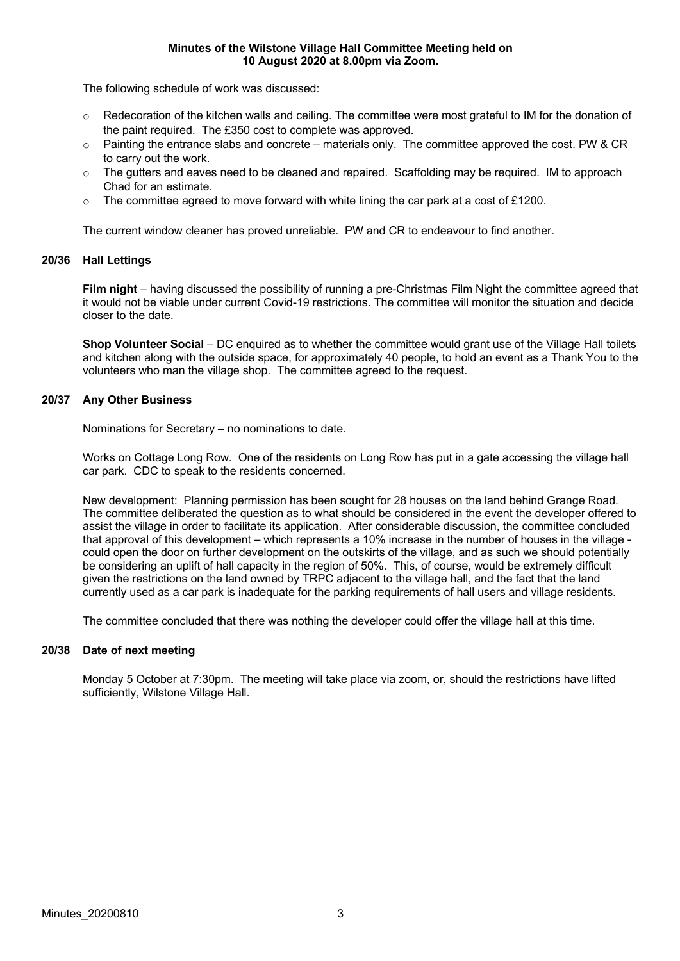#### **Minutes of the Wilstone Village Hall Committee Meeting held on 10 August 2020 at 8.00pm via Zoom.**

The following schedule of work was discussed:

- o Redecoration of the kitchen walls and ceiling. The committee were most grateful to IM for the donation of the paint required. The £350 cost to complete was approved.
- o Painting the entrance slabs and concrete materials only. The committee approved the cost. PW & CR to carry out the work.
- $\circ$  The gutters and eaves need to be cleaned and repaired. Scaffolding may be required. IM to approach Chad for an estimate.
- $\circ$  The committee agreed to move forward with white lining the car park at a cost of £1200.

The current window cleaner has proved unreliable. PW and CR to endeavour to find another.

#### **20/36 Hall Lettings**

**Film night** – having discussed the possibility of running a pre-Christmas Film Night the committee agreed that it would not be viable under current Covid-19 restrictions. The committee will monitor the situation and decide closer to the date.

**Shop Volunteer Social** – DC enquired as to whether the committee would grant use of the Village Hall toilets and kitchen along with the outside space, for approximately 40 people, to hold an event as a Thank You to the volunteers who man the village shop. The committee agreed to the request.

## **20/37 Any Other Business**

Nominations for Secretary – no nominations to date.

Works on Cottage Long Row. One of the residents on Long Row has put in a gate accessing the village hall car park. CDC to speak to the residents concerned.

New development: Planning permission has been sought for 28 houses on the land behind Grange Road. The committee deliberated the question as to what should be considered in the event the developer offered to assist the village in order to facilitate its application. After considerable discussion, the committee concluded that approval of this development – which represents a 10% increase in the number of houses in the village could open the door on further development on the outskirts of the village, and as such we should potentially be considering an uplift of hall capacity in the region of 50%. This, of course, would be extremely difficult given the restrictions on the land owned by TRPC adjacent to the village hall, and the fact that the land currently used as a car park is inadequate for the parking requirements of hall users and village residents.

The committee concluded that there was nothing the developer could offer the village hall at this time.

#### **20/38 Date of next meeting**

Monday 5 October at 7:30pm. The meeting will take place via zoom, or, should the restrictions have lifted sufficiently, Wilstone Village Hall.